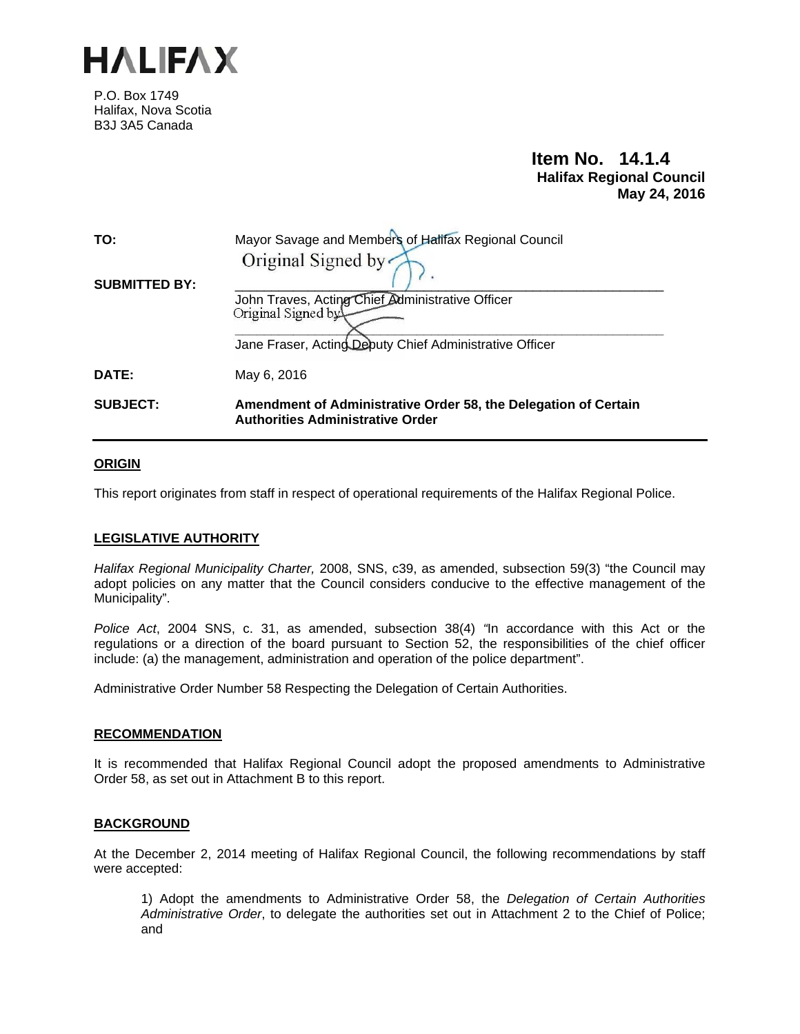

P.O. Box 1749 Halifax, Nova Scotia B3J 3A5 Canada

# **Item No. 14.1.4 Halifax Regional Council May 24, 2016**

| TO:                  | Mayor Savage and Members of Halifax Regional Council<br>Original Signed by                                                        |
|----------------------|-----------------------------------------------------------------------------------------------------------------------------------|
| <b>SUBMITTED BY:</b> | John Traves, Acting Chief Administrative Officer<br>Original Signed by<br>Jane Fraser, Acting Deputy Chief Administrative Officer |
| DATE:                | May 6, 2016                                                                                                                       |
| <b>SUBJECT:</b>      | Amendment of Administrative Order 58, the Delegation of Certain<br><b>Authorities Administrative Order</b>                        |

## **ORIGIN**

This report originates from staff in respect of operational requirements of the Halifax Regional Police.

## **LEGISLATIVE AUTHORITY**

*Halifax Regional Municipality Charter,* 2008, SNS, c39, as amended, subsection 59(3) "the Council may adopt policies on any matter that the Council considers conducive to the effective management of the Municipality".

*Police Act*, 2004 SNS, c. 31, as amended, subsection 38(4) *"*In accordance with this Act or the regulations or a direction of the board pursuant to Section 52, the responsibilities of the chief officer include: (a) the management, administration and operation of the police department".

Administrative Order Number 58 Respecting the Delegation of Certain Authorities.

## **RECOMMENDATION**

It is recommended that Halifax Regional Council adopt the proposed amendments to Administrative Order 58, as set out in Attachment B to this report.

## **BACKGROUND**

At the December 2, 2014 meeting of Halifax Regional Council, the following recommendations by staff were accepted:

1) Adopt the amendments to Administrative Order 58, the *Delegation of Certain Authorities Administrative Order*, to delegate the authorities set out in Attachment 2 to the Chief of Police; and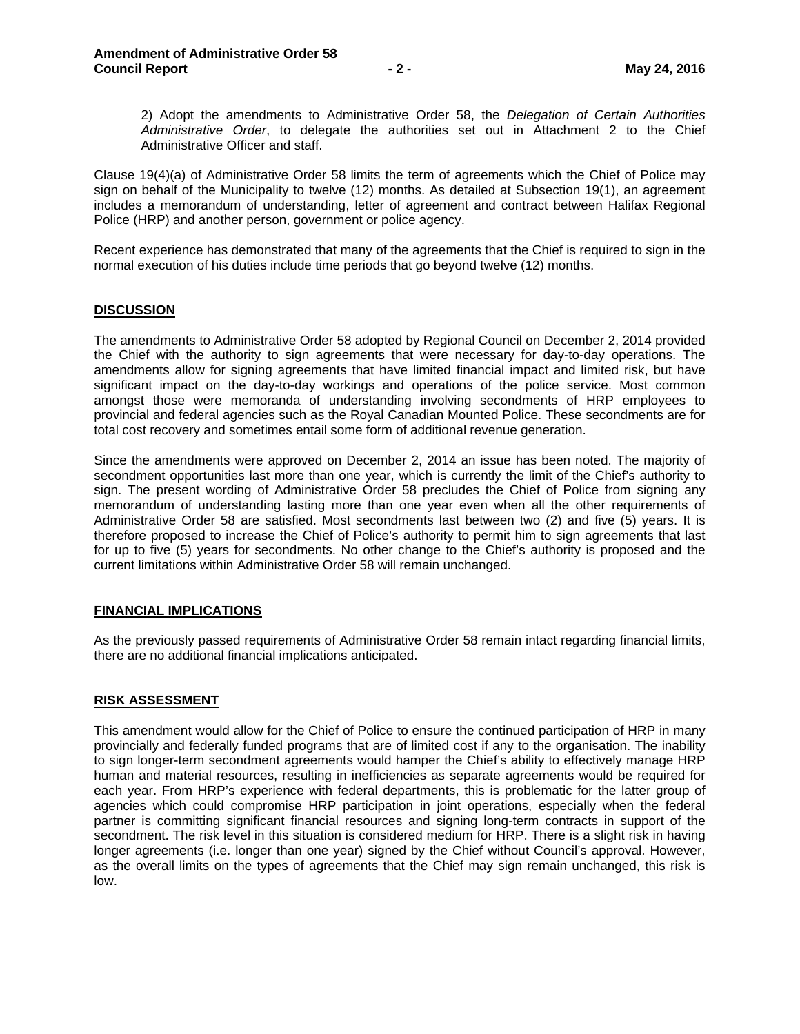2) Adopt the amendments to Administrative Order 58, the *Delegation of Certain Authorities Administrative Order*, to delegate the authorities set out in Attachment 2 to the Chief Administrative Officer and staff.

Clause 19(4)(a) of Administrative Order 58 limits the term of agreements which the Chief of Police may sign on behalf of the Municipality to twelve (12) months. As detailed at Subsection 19(1), an agreement includes a memorandum of understanding, letter of agreement and contract between Halifax Regional Police (HRP) and another person, government or police agency.

Recent experience has demonstrated that many of the agreements that the Chief is required to sign in the normal execution of his duties include time periods that go beyond twelve (12) months.

#### **DISCUSSION**

The amendments to Administrative Order 58 adopted by Regional Council on December 2, 2014 provided the Chief with the authority to sign agreements that were necessary for day-to-day operations. The amendments allow for signing agreements that have limited financial impact and limited risk, but have significant impact on the day-to-day workings and operations of the police service. Most common amongst those were memoranda of understanding involving secondments of HRP employees to provincial and federal agencies such as the Royal Canadian Mounted Police. These secondments are for total cost recovery and sometimes entail some form of additional revenue generation.

Since the amendments were approved on December 2, 2014 an issue has been noted. The majority of secondment opportunities last more than one year, which is currently the limit of the Chief's authority to sign. The present wording of Administrative Order 58 precludes the Chief of Police from signing any memorandum of understanding lasting more than one year even when all the other requirements of Administrative Order 58 are satisfied. Most secondments last between two (2) and five (5) years. It is therefore proposed to increase the Chief of Police's authority to permit him to sign agreements that last for up to five (5) years for secondments. No other change to the Chief's authority is proposed and the current limitations within Administrative Order 58 will remain unchanged.

#### **FINANCIAL IMPLICATIONS**

As the previously passed requirements of Administrative Order 58 remain intact regarding financial limits, there are no additional financial implications anticipated.

#### **RISK ASSESSMENT**

This amendment would allow for the Chief of Police to ensure the continued participation of HRP in many provincially and federally funded programs that are of limited cost if any to the organisation. The inability to sign longer-term secondment agreements would hamper the Chief's ability to effectively manage HRP human and material resources, resulting in inefficiencies as separate agreements would be required for each year. From HRP's experience with federal departments, this is problematic for the latter group of agencies which could compromise HRP participation in joint operations, especially when the federal partner is committing significant financial resources and signing long-term contracts in support of the secondment. The risk level in this situation is considered medium for HRP. There is a slight risk in having longer agreements (i.e. longer than one year) signed by the Chief without Council's approval. However, as the overall limits on the types of agreements that the Chief may sign remain unchanged, this risk is low.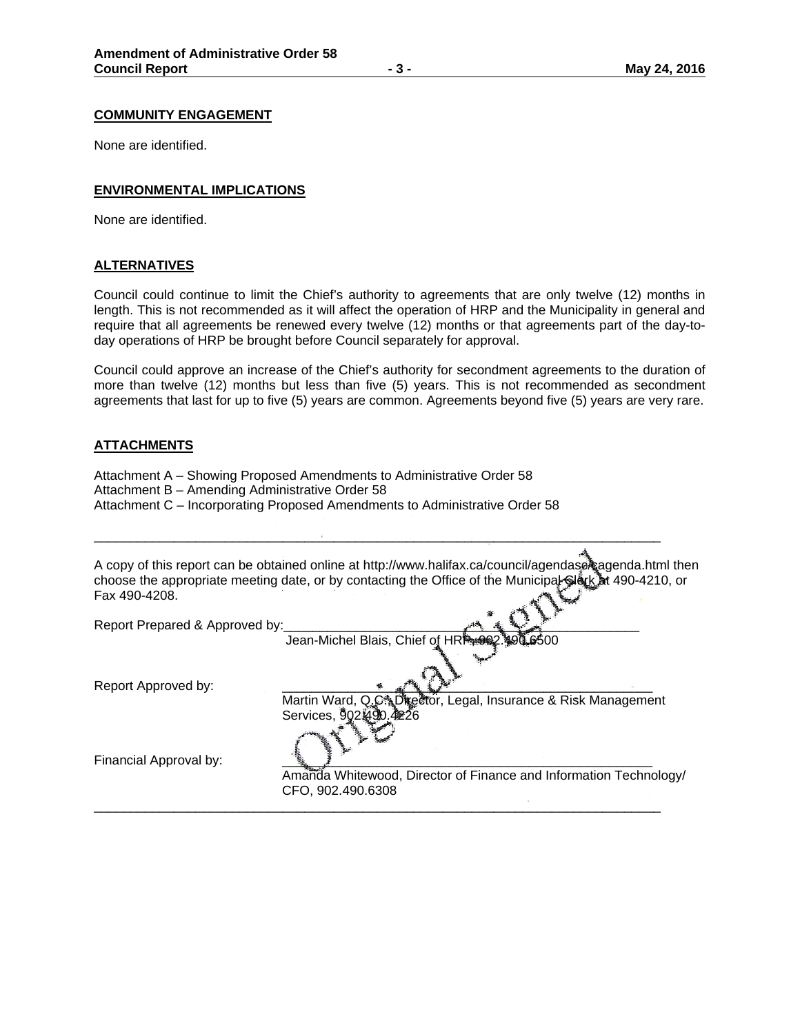#### **COMMUNITY ENGAGEMENT**

None are identified.

## **ENVIRONMENTAL IMPLICATIONS**

None are identified.

#### **ALTERNATIVES**

Council could continue to limit the Chief's authority to agreements that are only twelve (12) months in length. This is not recommended as it will affect the operation of HRP and the Municipality in general and require that all agreements be renewed every twelve (12) months or that agreements part of the day-today operations of HRP be brought before Council separately for approval.

Council could approve an increase of the Chief's authority for secondment agreements to the duration of more than twelve (12) months but less than five (5) years. This is not recommended as secondment agreements that last for up to five (5) years are common. Agreements beyond five (5) years are very rare.

#### **ATTACHMENTS**

- Attachment A Showing Proposed Amendments to Administrative Order 58
- Attachment B Amending Administrative Order 58
- Attachment C Incorporating Proposed Amendments to Administrative Order 58

A copy of this report can be obtained online at http://www.halifax.ca/council/agendase cagenda.html then choose the appropriate meeting date, or by contacting the Office of the Municipal Clerk at 490-4210, or Fax 490-4208.

\_\_\_\_\_\_\_\_\_\_\_\_\_\_\_\_\_\_\_\_\_\_\_\_\_\_\_\_\_\_\_\_\_\_\_\_\_\_\_\_\_\_\_\_\_\_\_\_\_\_\_\_\_\_\_\_\_\_\_\_\_\_\_\_\_\_\_\_\_\_\_\_\_\_\_\_\_\_

\_\_\_\_\_\_\_\_\_\_\_\_\_\_\_\_\_\_\_\_\_\_\_\_\_\_\_\_\_\_\_\_\_\_\_\_\_\_\_\_\_\_\_\_\_\_\_\_\_\_\_\_\_\_\_\_\_\_\_\_\_\_\_\_\_\_\_\_\_\_\_\_\_\_\_\_\_\_

Report Prepared & Approved by:

Jean-Michel Blais, Chief of HR<sup>®</sup>

Report Approved by:

Martin Ward, Q.C. Director, Legal, Insurance & Risk Management Services, 902

Financial Approval by:

 Amanda Whitewood, Director of Finance and Information Technology/ CFO, 902.490.6308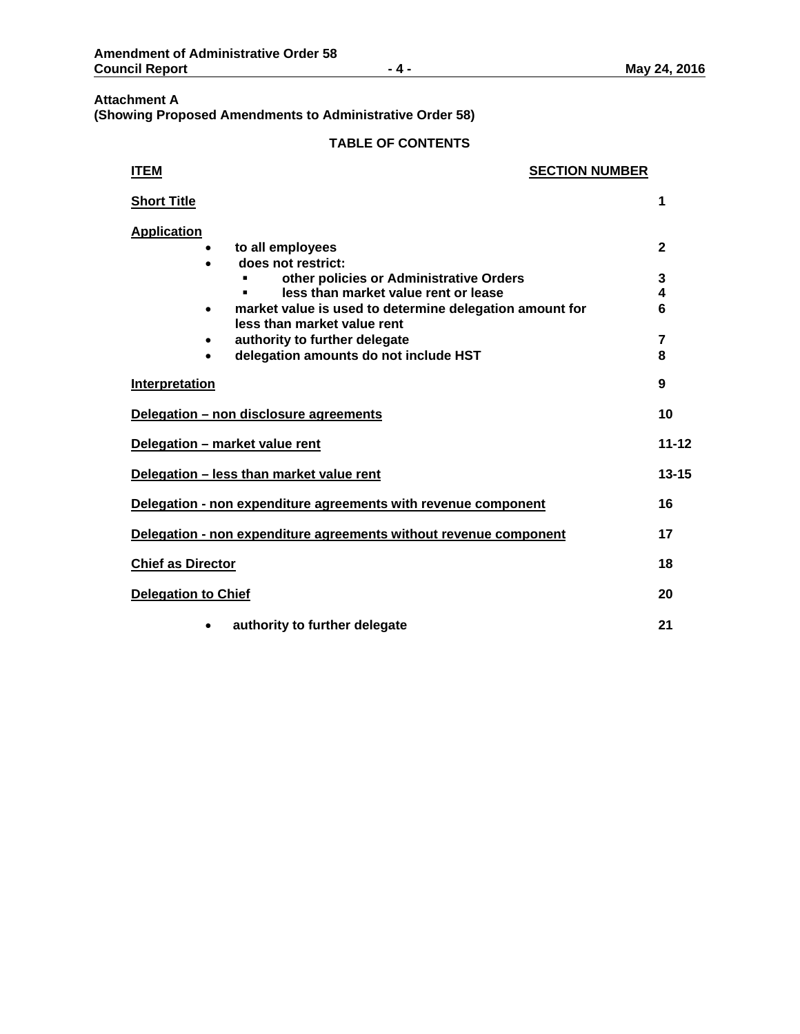## **Attachment A (Showing Proposed Amendments to Administrative Order 58)**

# **TABLE OF CONTENTS**

| <b>ITEM</b>                | <b>SECTION NUMBER</b>                                                                                                     |                        |
|----------------------------|---------------------------------------------------------------------------------------------------------------------------|------------------------|
| <b>Short Title</b>         |                                                                                                                           | 1                      |
| <b>Application</b>         | to all employees<br>does not restrict:<br>other policies or Administrative Orders<br>less than market value rent or lease | $\mathbf{2}$<br>3<br>4 |
|                            | market value is used to determine delegation amount for<br>less than market value rent                                    | 6                      |
| $\bullet$                  | authority to further delegate<br>delegation amounts do not include HST                                                    | 7<br>8                 |
| <b>Interpretation</b>      |                                                                                                                           | 9                      |
|                            | Delegation - non disclosure agreements                                                                                    | 10                     |
|                            | Delegation - market value rent                                                                                            | $11 - 12$              |
|                            | Delegation - less than market value rent                                                                                  | $13 - 15$              |
|                            | Delegation - non expenditure agreements with revenue component                                                            | 16                     |
|                            | Delegation - non expenditure agreements without revenue component                                                         | 17                     |
| <b>Chief as Director</b>   |                                                                                                                           | 18                     |
| <b>Delegation to Chief</b> |                                                                                                                           | 20                     |
|                            | authority to further delegate                                                                                             | 21                     |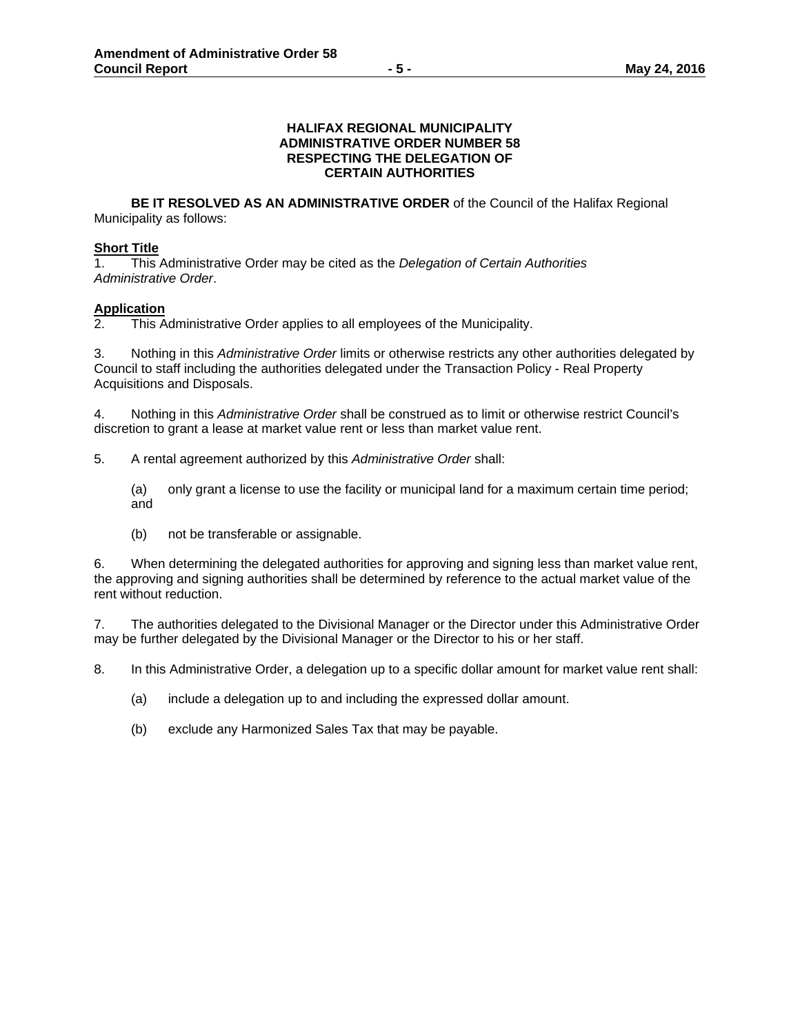#### **HALIFAX REGIONAL MUNICIPALITY ADMINISTRATIVE ORDER NUMBER 58 RESPECTING THE DELEGATION OF CERTAIN AUTHORITIES**

**BE IT RESOLVED AS AN ADMINISTRATIVE ORDER** of the Council of the Halifax Regional Municipality as follows:

## **Short Title**

1. This Administrative Order may be cited as the *Delegation of Certain Authorities Administrative Order*.

## **Application**

2. This Administrative Order applies to all employees of the Municipality.

3. Nothing in this *Administrative Order* limits or otherwise restricts any other authorities delegated by Council to staff including the authorities delegated under the Transaction Policy - Real Property Acquisitions and Disposals.

4. Nothing in this *Administrative Order* shall be construed as to limit or otherwise restrict Council's discretion to grant a lease at market value rent or less than market value rent.

5. A rental agreement authorized by this *Administrative Order* shall:

(a) only grant a license to use the facility or municipal land for a maximum certain time period; and

(b) not be transferable or assignable.

6. When determining the delegated authorities for approving and signing less than market value rent, the approving and signing authorities shall be determined by reference to the actual market value of the rent without reduction.

7. The authorities delegated to the Divisional Manager or the Director under this Administrative Order may be further delegated by the Divisional Manager or the Director to his or her staff.

8. In this Administrative Order, a delegation up to a specific dollar amount for market value rent shall:

- (a) include a delegation up to and including the expressed dollar amount.
- (b) exclude any Harmonized Sales Tax that may be payable.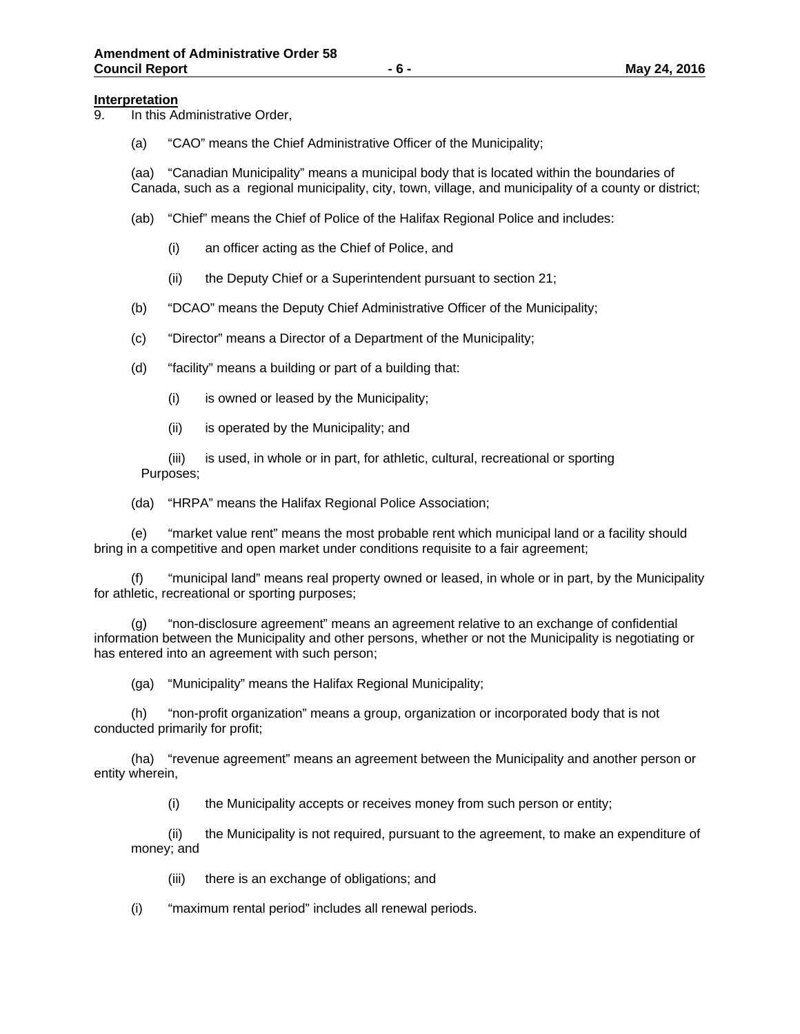#### **Interpretation**

- 9. In this Administrative Order,
	- (a) "CAO" means the Chief Administrative Officer of the Municipality;

(aa) "Canadian Municipality" means a municipal body that is located within the boundaries of Canada, such as a regional municipality, city, town, village, and municipality of a county or district;

- (ab) "Chief" means the Chief of Police of the Halifax Regional Police and includes:
	- (i) an officer acting as the Chief of Police, and
	- (ii) the Deputy Chief or a Superintendent pursuant to section 21;
- (b) "DCAO" means the Deputy Chief Administrative Officer of the Municipality;
- (c) "Director" means a Director of a Department of the Municipality;
- (d) "facility" means a building or part of a building that:
	- (i) is owned or leased by the Municipality;
	- (ii) is operated by the Municipality; and

 (iii) is used, in whole or in part, for athletic, cultural, recreational or sporting Purposes;

(da) "HRPA" means the Halifax Regional Police Association;

(e) "market value rent" means the most probable rent which municipal land or a facility should bring in a competitive and open market under conditions requisite to a fair agreement;

(f) "municipal land" means real property owned or leased, in whole or in part, by the Municipality for athletic, recreational or sporting purposes;

(g) "non-disclosure agreement" means an agreement relative to an exchange of confidential information between the Municipality and other persons, whether or not the Municipality is negotiating or has entered into an agreement with such person;

(ga) "Municipality" means the Halifax Regional Municipality;

(h) "non-profit organization" means a group, organization or incorporated body that is not conducted primarily for profit;

(ha) "revenue agreement" means an agreement between the Municipality and another person or entity wherein,

(i) the Municipality accepts or receives money from such person or entity;

(ii) the Municipality is not required, pursuant to the agreement, to make an expenditure of money; and

(iii) there is an exchange of obligations; and

(i) "maximum rental period" includes all renewal periods.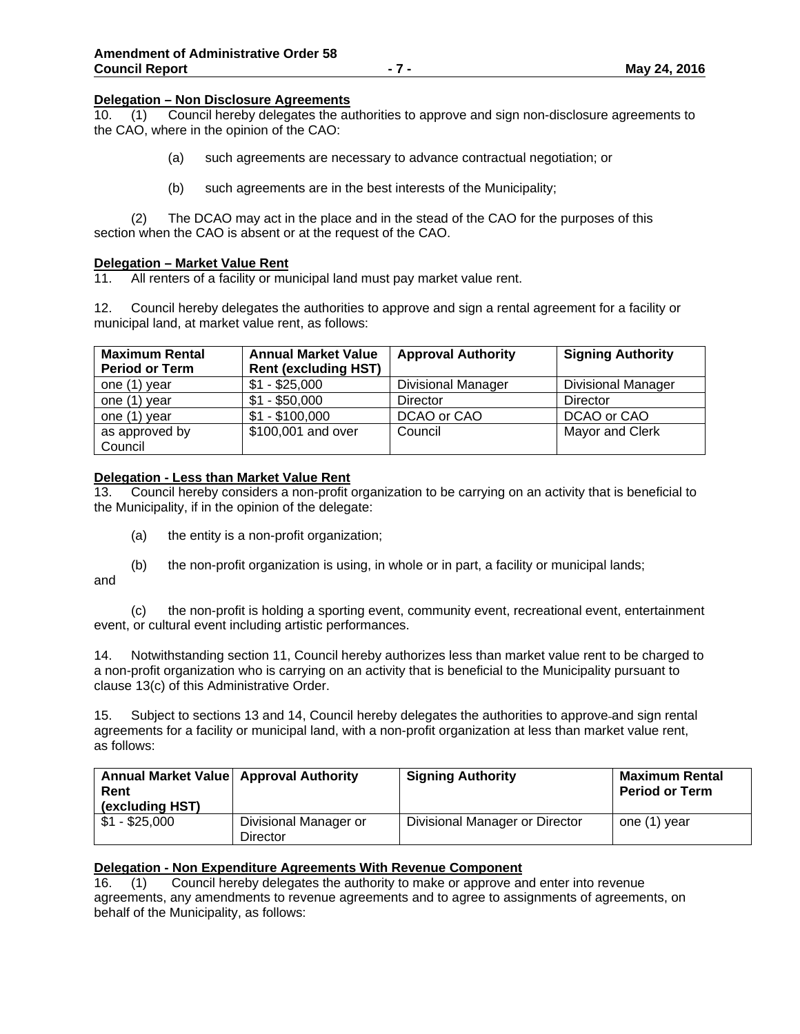#### **Delegation – Non Disclosure Agreements**

10. (1) Council hereby delegates the authorities to approve and sign non-disclosure agreements to the CAO, where in the opinion of the CAO:

- (a) such agreements are necessary to advance contractual negotiation; or
- (b) such agreements are in the best interests of the Municipality;

 (2) The DCAO may act in the place and in the stead of the CAO for the purposes of this section when the CAO is absent or at the request of the CAO.

#### **Delegation – Market Value Rent**

11. All renters of a facility or municipal land must pay market value rent.

12. Council hereby delegates the authorities to approve and sign a rental agreement for a facility or municipal land, at market value rent, as follows:

| <b>Maximum Rental</b> | <b>Annual Market Value</b>  | <b>Approval Authority</b> | <b>Signing Authority</b>  |
|-----------------------|-----------------------------|---------------------------|---------------------------|
| <b>Period or Term</b> | <b>Rent (excluding HST)</b> |                           |                           |
| one (1) year          | $$1 - $25,000$              | <b>Divisional Manager</b> | <b>Divisional Manager</b> |
| one (1) year          | $$1 - $50,000$              | <b>Director</b>           | Director                  |
| one (1) year          | $$1 - $100,000$             | DCAO or CAO               | DCAO or CAO               |
| as approved by        | \$100,001 and over          | Council                   | Mayor and Clerk           |
| Council               |                             |                           |                           |

## **Delegation - Less than Market Value Rent**

13. Council hereby considers a non-profit organization to be carrying on an activity that is beneficial to the Municipality, if in the opinion of the delegate:

- (a) the entity is a non-profit organization;
- (b) the non-profit organization is using, in whole or in part, a facility or municipal lands;

and

 (c) the non-profit is holding a sporting event, community event, recreational event, entertainment event, or cultural event including artistic performances.

14. Notwithstanding section 11, Council hereby authorizes less than market value rent to be charged to a non-profit organization who is carrying on an activity that is beneficial to the Municipality pursuant to clause 13(c) of this Administrative Order.

15. Subject to sections 13 and 14, Council hereby delegates the authorities to approve and sign rental agreements for a facility or municipal land, with a non-profit organization at less than market value rent, as follows:

| Annual Market Value   Approval Authority<br>Rent<br>(excluding HST) |                                   | <b>Signing Authority</b>       | <b>Maximum Rental</b><br><b>Period or Term</b> |
|---------------------------------------------------------------------|-----------------------------------|--------------------------------|------------------------------------------------|
| $$1 - $25,000$                                                      | Divisional Manager or<br>Director | Divisional Manager or Director | one (1) year                                   |

## **Delegation - Non Expenditure Agreements With Revenue Component**

16. (1) Council hereby delegates the authority to make or approve and enter into revenue agreements, any amendments to revenue agreements and to agree to assignments of agreements, on behalf of the Municipality, as follows: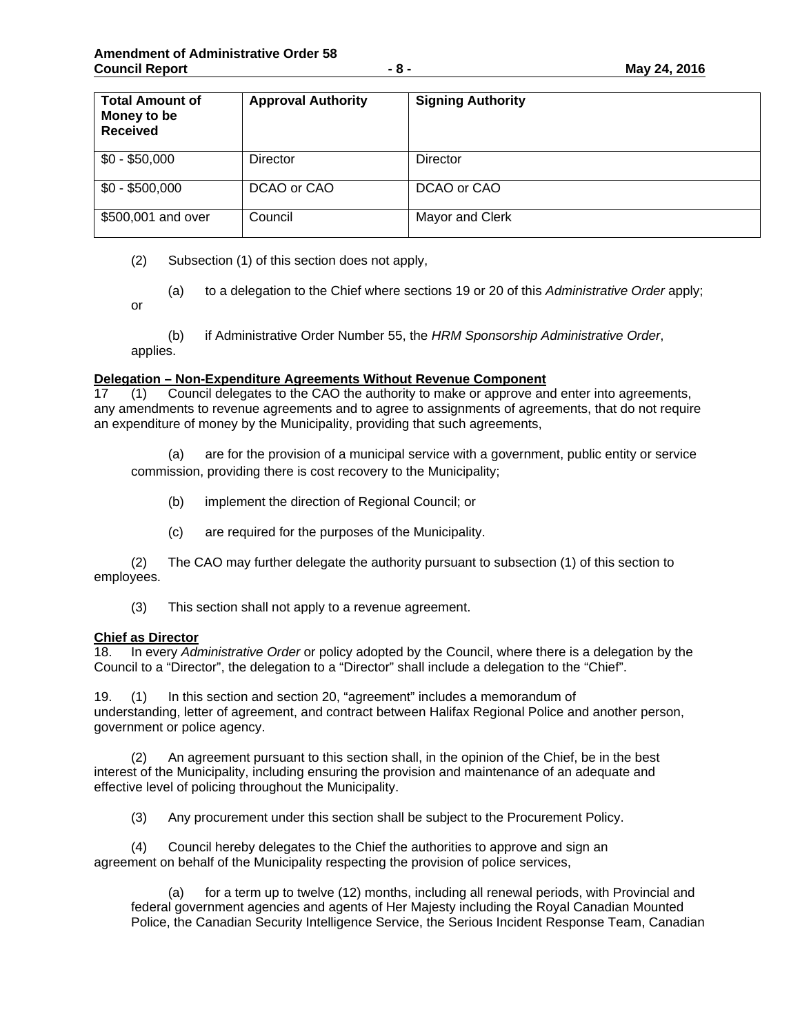| <b>Total Amount of</b><br>Money to be<br><b>Received</b> | <b>Approval Authority</b> | <b>Signing Authority</b> |
|----------------------------------------------------------|---------------------------|--------------------------|
| $$0 - $50,000$                                           | <b>Director</b>           | Director                 |
| $$0 - $500,000$                                          | DCAO or CAO               | DCAO or CAO              |
| \$500,001 and over                                       | Council                   | Mayor and Clerk          |

(2) Subsection (1) of this section does not apply,

(a) to a delegation to the Chief where sections 19 or 20 of this *Administrative Order* apply;

or

(b) if Administrative Order Number 55, the *HRM Sponsorship Administrative Order*, applies.

#### **Delegation – Non-Expenditure Agreements Without Revenue Component**

17 (1) Council delegates to the CAO the authority to make or approve and enter into agreements, any amendments to revenue agreements and to agree to assignments of agreements, that do not require an expenditure of money by the Municipality, providing that such agreements,

(a) are for the provision of a municipal service with a government, public entity or service commission, providing there is cost recovery to the Municipality;

- (b) implement the direction of Regional Council; or
- (c) are required for the purposes of the Municipality.

(2) The CAO may further delegate the authority pursuant to subsection (1) of this section to employees.

(3) This section shall not apply to a revenue agreement.

#### **Chief as Director**

18. In every *Administrative Order* or policy adopted by the Council, where there is a delegation by the Council to a "Director", the delegation to a "Director" shall include a delegation to the "Chief".

19. (1) In this section and section 20, "agreement" includes a memorandum of understanding, letter of agreement, and contract between Halifax Regional Police and another person, government or police agency.

 (2) An agreement pursuant to this section shall, in the opinion of the Chief, be in the best interest of the Municipality, including ensuring the provision and maintenance of an adequate and effective level of policing throughout the Municipality.

(3) Any procurement under this section shall be subject to the Procurement Policy.

(4) Council hereby delegates to the Chief the authorities to approve and sign an agreement on behalf of the Municipality respecting the provision of police services,

for a term up to twelve (12) months, including all renewal periods, with Provincial and federal government agencies and agents of Her Majesty including the Royal Canadian Mounted Police, the Canadian Security Intelligence Service, the Serious Incident Response Team, Canadian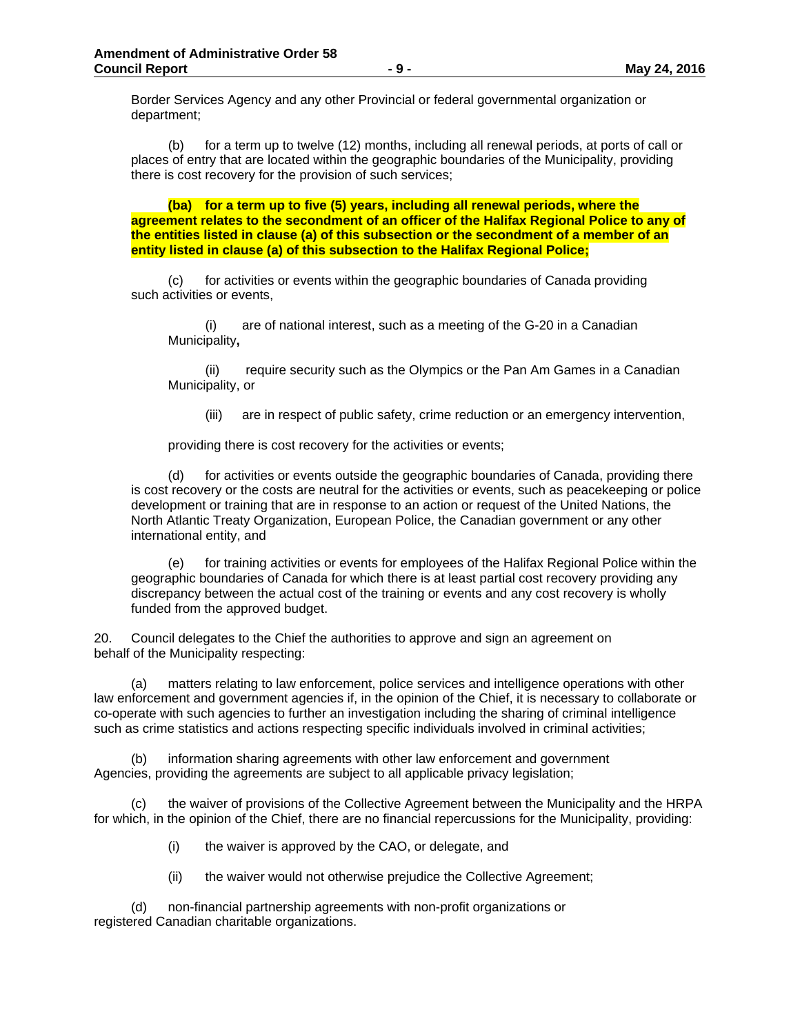Border Services Agency and any other Provincial or federal governmental organization or department;

 (b) for a term up to twelve (12) months, including all renewal periods, at ports of call or places of entry that are located within the geographic boundaries of the Municipality, providing there is cost recovery for the provision of such services;

**(ba) for a term up to five (5) years, including all renewal periods, where the agreement relates to the secondment of an officer of the Halifax Regional Police to any of the entities listed in clause (a) of this subsection or the secondment of a member of an entity listed in clause (a) of this subsection to the Halifax Regional Police;** 

(c) for activities or events within the geographic boundaries of Canada providing such activities or events,

 (i) are of national interest, such as a meeting of the G-20 in a Canadian Municipality**,**

 (ii) require security such as the Olympics or the Pan Am Games in a Canadian Municipality, or

(iii) are in respect of public safety, crime reduction or an emergency intervention,

providing there is cost recovery for the activities or events;

(d) for activities or events outside the geographic boundaries of Canada, providing there is cost recovery or the costs are neutral for the activities or events, such as peacekeeping or police development or training that are in response to an action or request of the United Nations, the North Atlantic Treaty Organization, European Police, the Canadian government or any other international entity, and

(e) for training activities or events for employees of the Halifax Regional Police within the geographic boundaries of Canada for which there is at least partial cost recovery providing any discrepancy between the actual cost of the training or events and any cost recovery is wholly funded from the approved budget.

20. Council delegates to the Chief the authorities to approve and sign an agreement on behalf of the Municipality respecting:

(a) matters relating to law enforcement, police services and intelligence operations with other law enforcement and government agencies if, in the opinion of the Chief, it is necessary to collaborate or co-operate with such agencies to further an investigation including the sharing of criminal intelligence such as crime statistics and actions respecting specific individuals involved in criminal activities;

(b) information sharing agreements with other law enforcement and government Agencies, providing the agreements are subject to all applicable privacy legislation;

(c) the waiver of provisions of the Collective Agreement between the Municipality and the HRPA for which, in the opinion of the Chief, there are no financial repercussions for the Municipality, providing:

(i) the waiver is approved by the CAO, or delegate, and

(ii) the waiver would not otherwise prejudice the Collective Agreement;

(d) non-financial partnership agreements with non-profit organizations or registered Canadian charitable organizations.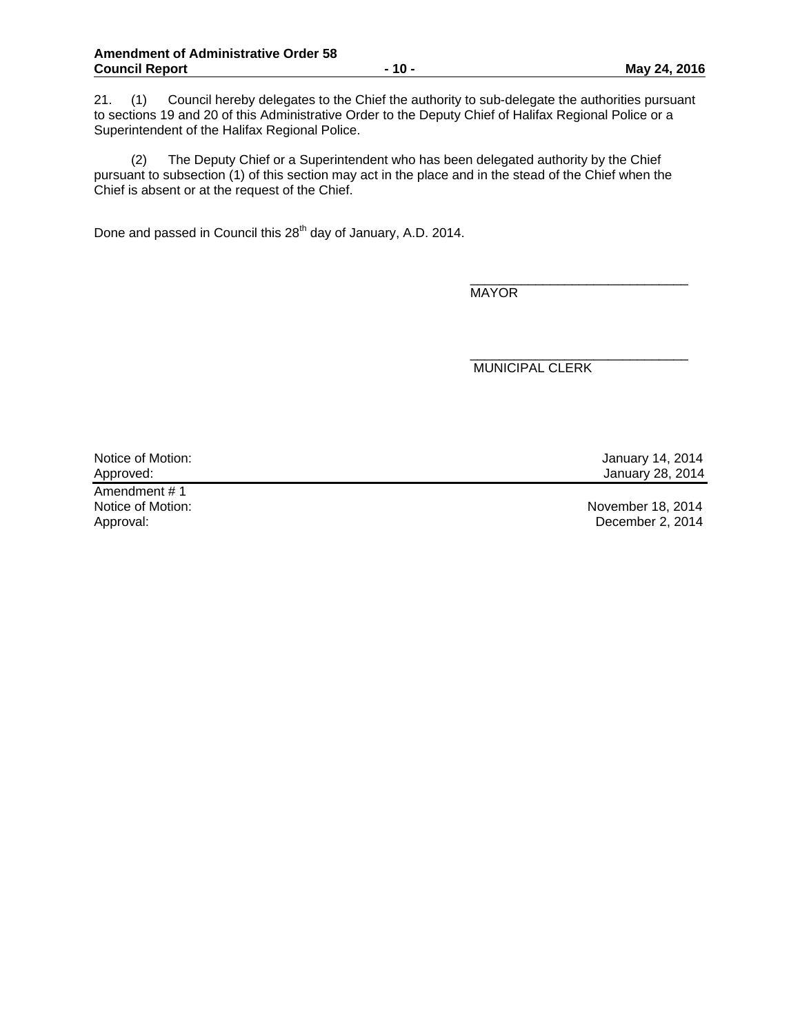21. (1) Council hereby delegates to the Chief the authority to sub-delegate the authorities pursuant to sections 19 and 20 of this Administrative Order to the Deputy Chief of Halifax Regional Police or a Superintendent of the Halifax Regional Police.

(2) The Deputy Chief or a Superintendent who has been delegated authority by the Chief pursuant to subsection (1) of this section may act in the place and in the stead of the Chief when the Chief is absent or at the request of the Chief.

Done and passed in Council this 28<sup>th</sup> day of January, A.D. 2014.

\_\_\_\_\_\_\_\_\_\_\_\_\_\_\_\_\_\_\_\_\_\_\_\_\_\_\_\_\_\_ MAYOR

MUNICIPAL CLERK

\_\_\_\_\_\_\_\_\_\_\_\_\_\_\_\_\_\_\_\_\_\_\_\_\_\_\_\_\_\_

Notice of Motion: January 14, 2014<br>Approved: January 28, 2014

Amendment # 1 Approval: December 2, 2014

Notice of Motion: November 18, 2014

January 28, 2014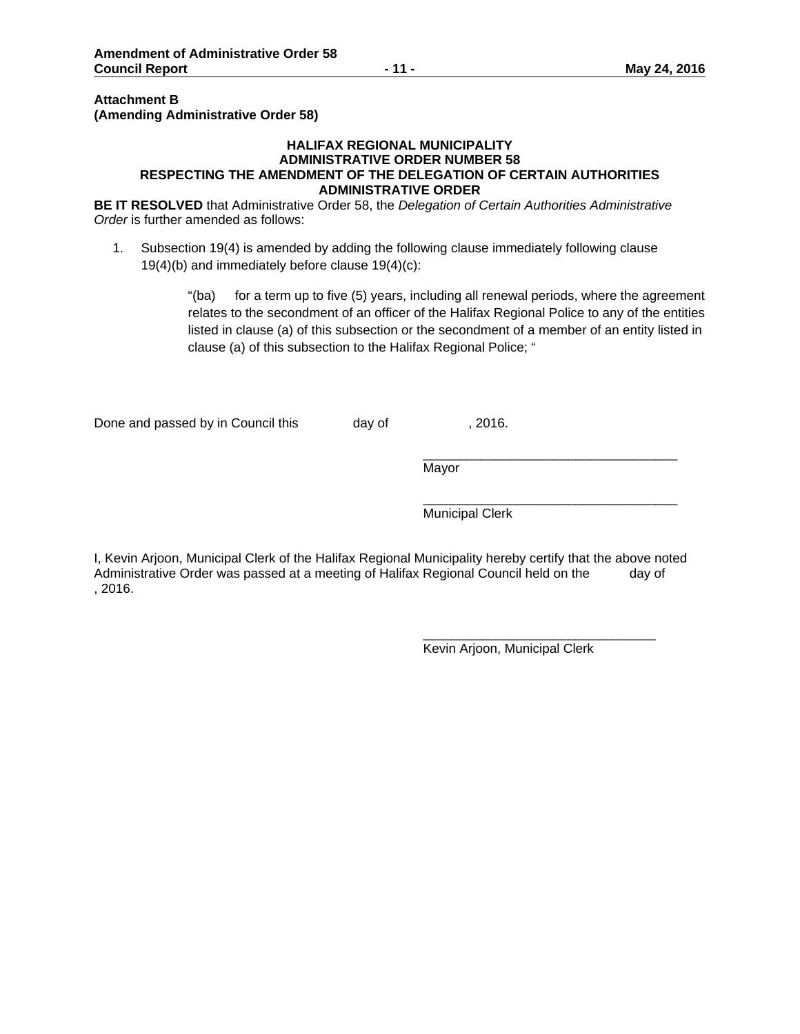### **Attachment B (Amending Administrative Order 58)**

#### **HALIFAX REGIONAL MUNICIPALITY ADMINISTRATIVE ORDER NUMBER 58 RESPECTING THE AMENDMENT OF THE DELEGATION OF CERTAIN AUTHORITIES ADMINISTRATIVE ORDER**

**BE IT RESOLVED** that Administrative Order 58, the *Delegation of Certain Authorities Administrative Order* is further amended as follows:

1. Subsection 19(4) is amended by adding the following clause immediately following clause 19(4)(b) and immediately before clause 19(4)(c):

> "(ba) for a term up to five (5) years, including all renewal periods, where the agreement relates to the secondment of an officer of the Halifax Regional Police to any of the entities listed in clause (a) of this subsection or the secondment of a member of an entity listed in clause (a) of this subsection to the Halifax Regional Police; "

Done and passed by in Council this day of , 2016.

 $\overline{\phantom{a}}$  , and the state of the state of the state of the state of the state of the state of the state of the state of the state of the state of the state of the state of the state of the state of the state of the stat Mayor

 $\overline{\phantom{a}}$  , and the state of the state of the state of the state of the state of the state of the state of the state of the state of the state of the state of the state of the state of the state of the state of the stat Municipal Clerk

I, Kevin Arjoon, Municipal Clerk of the Halifax Regional Municipality hereby certify that the above noted Administrative Order was passed at a meeting of Halifax Regional Council held on the day of , 2016.

 $\frac{1}{\sqrt{2}}$  ,  $\frac{1}{\sqrt{2}}$  ,  $\frac{1}{\sqrt{2}}$  ,  $\frac{1}{\sqrt{2}}$  ,  $\frac{1}{\sqrt{2}}$  ,  $\frac{1}{\sqrt{2}}$  ,  $\frac{1}{\sqrt{2}}$  ,  $\frac{1}{\sqrt{2}}$  ,  $\frac{1}{\sqrt{2}}$  ,  $\frac{1}{\sqrt{2}}$  ,  $\frac{1}{\sqrt{2}}$  ,  $\frac{1}{\sqrt{2}}$  ,  $\frac{1}{\sqrt{2}}$  ,  $\frac{1}{\sqrt{2}}$  ,  $\frac{1}{\sqrt{2}}$ 

Kevin Arjoon, Municipal Clerk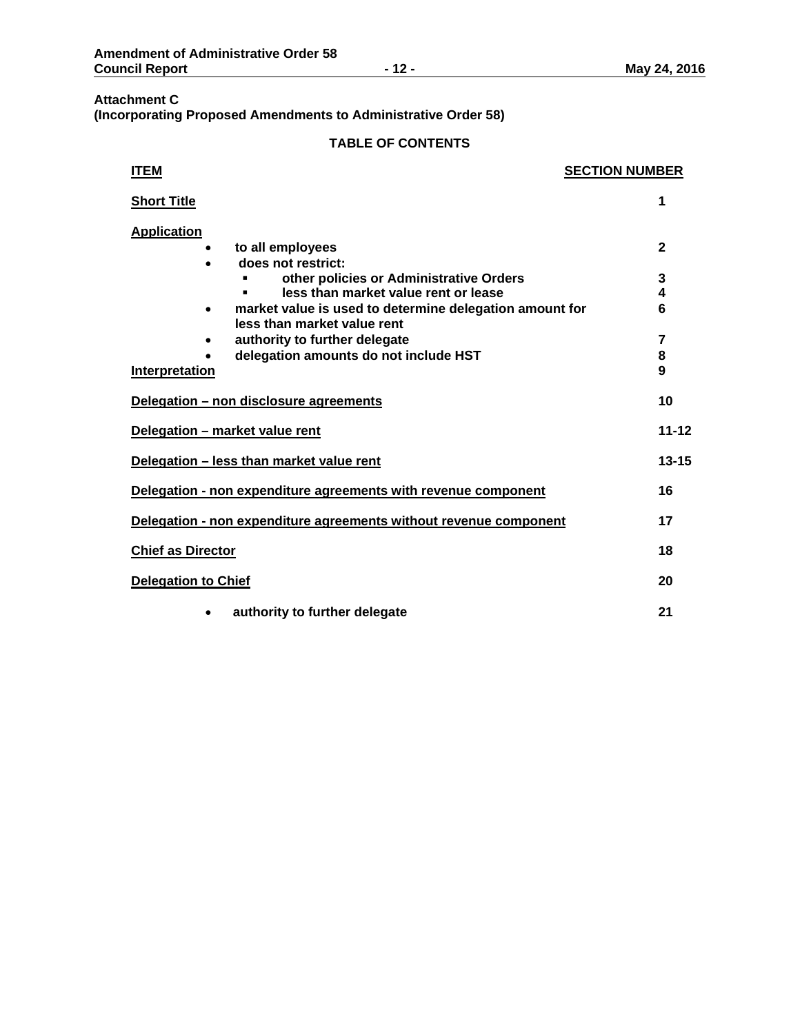## **Attachment C (Incorporating Proposed Amendments to Administrative Order 58)**

| <b>ITEM</b>                                                                                         | <b>SECTION NUMBER</b> |
|-----------------------------------------------------------------------------------------------------|-----------------------|
| <b>Short Title</b>                                                                                  | 1                     |
| <b>Application</b>                                                                                  |                       |
| to all employees<br>does not restrict:                                                              | $\mathbf{2}$          |
| other policies or Administrative Orders                                                             | 3                     |
| less than market value rent or lease                                                                | 4                     |
| market value is used to determine delegation amount for<br>$\bullet$<br>less than market value rent | 6                     |
| authority to further delegate                                                                       | 7                     |
| delegation amounts do not include HST                                                               | 8                     |
| Interpretation                                                                                      | 9                     |
| Delegation - non disclosure agreements                                                              | 10                    |
| Delegation - market value rent                                                                      | $11 - 12$             |
| Delegation - less than market value rent                                                            | $13 - 15$             |
| Delegation - non expenditure agreements with revenue component                                      | 16                    |
| Delegation - non expenditure agreements without revenue component                                   | 17                    |
| <b>Chief as Director</b>                                                                            | 18                    |
| <b>Delegation to Chief</b>                                                                          | 20                    |
| authority to further delegate                                                                       | 21                    |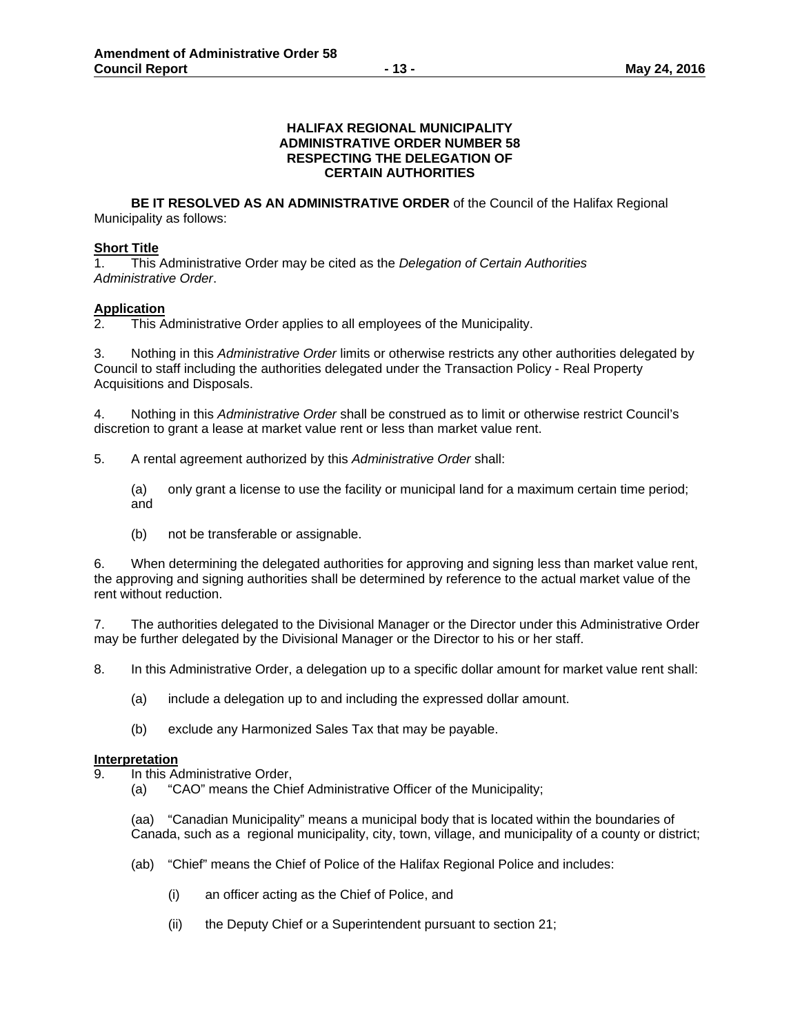#### **HALIFAX REGIONAL MUNICIPALITY ADMINISTRATIVE ORDER NUMBER 58 RESPECTING THE DELEGATION OF CERTAIN AUTHORITIES**

**BE IT RESOLVED AS AN ADMINISTRATIVE ORDER** of the Council of the Halifax Regional Municipality as follows:

## **Short Title**

1. This Administrative Order may be cited as the *Delegation of Certain Authorities Administrative Order*.

## **Application**

2. This Administrative Order applies to all employees of the Municipality.

3. Nothing in this *Administrative Order* limits or otherwise restricts any other authorities delegated by Council to staff including the authorities delegated under the Transaction Policy - Real Property Acquisitions and Disposals.

4. Nothing in this *Administrative Order* shall be construed as to limit or otherwise restrict Council's discretion to grant a lease at market value rent or less than market value rent.

5. A rental agreement authorized by this *Administrative Order* shall:

(a) only grant a license to use the facility or municipal land for a maximum certain time period; and

(b) not be transferable or assignable.

6. When determining the delegated authorities for approving and signing less than market value rent, the approving and signing authorities shall be determined by reference to the actual market value of the rent without reduction.

7. The authorities delegated to the Divisional Manager or the Director under this Administrative Order may be further delegated by the Divisional Manager or the Director to his or her staff.

8. In this Administrative Order, a delegation up to a specific dollar amount for market value rent shall:

- (a) include a delegation up to and including the expressed dollar amount.
- (b) exclude any Harmonized Sales Tax that may be payable.

## **Interpretation**

- 9. In this Administrative Order,
	- (a) "CAO" means the Chief Administrative Officer of the Municipality;

(aa) "Canadian Municipality" means a municipal body that is located within the boundaries of Canada, such as a regional municipality, city, town, village, and municipality of a county or district;

- (ab) "Chief" means the Chief of Police of the Halifax Regional Police and includes:
	- (i) an officer acting as the Chief of Police, and
	- (ii) the Deputy Chief or a Superintendent pursuant to section 21;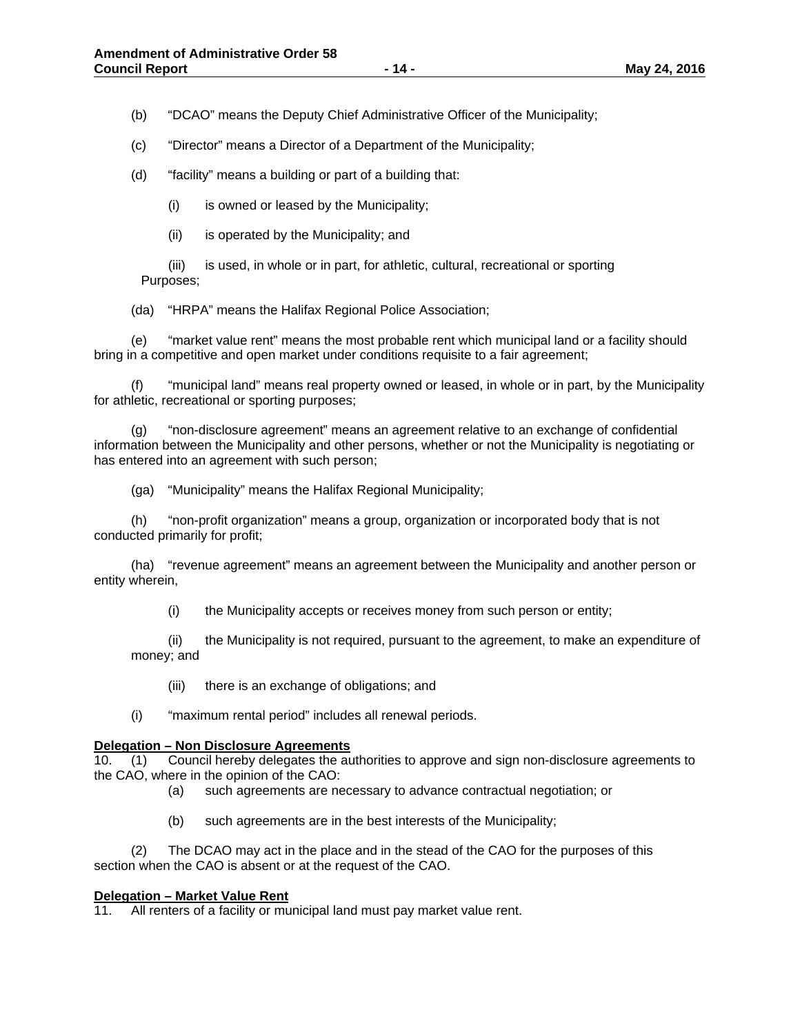(b) "DCAO" means the Deputy Chief Administrative Officer of the Municipality;

(c) "Director" means a Director of a Department of the Municipality;

(d) "facility" means a building or part of a building that:

(i) is owned or leased by the Municipality;

(ii) is operated by the Municipality; and

 (iii) is used, in whole or in part, for athletic, cultural, recreational or sporting Purposes;

(da) "HRPA" means the Halifax Regional Police Association;

(e) "market value rent" means the most probable rent which municipal land or a facility should bring in a competitive and open market under conditions requisite to a fair agreement;

(f) "municipal land" means real property owned or leased, in whole or in part, by the Municipality for athletic, recreational or sporting purposes;

(g) "non-disclosure agreement" means an agreement relative to an exchange of confidential information between the Municipality and other persons, whether or not the Municipality is negotiating or has entered into an agreement with such person;

(ga) "Municipality" means the Halifax Regional Municipality;

(h) "non-profit organization" means a group, organization or incorporated body that is not conducted primarily for profit;

(ha) "revenue agreement" means an agreement between the Municipality and another person or entity wherein,

(i) the Municipality accepts or receives money from such person or entity;

(ii) the Municipality is not required, pursuant to the agreement, to make an expenditure of money; and

(iii) there is an exchange of obligations; and

(i) "maximum rental period" includes all renewal periods.

#### **Delegation – Non Disclosure Agreements**

10. (1) Council hereby delegates the authorities to approve and sign non-disclosure agreements to the CAO, where in the opinion of the CAO:

(a) such agreements are necessary to advance contractual negotiation; or

(b) such agreements are in the best interests of the Municipality;

 (2) The DCAO may act in the place and in the stead of the CAO for the purposes of this section when the CAO is absent or at the request of the CAO.

#### **Delegation – Market Value Rent**

11. All renters of a facility or municipal land must pay market value rent.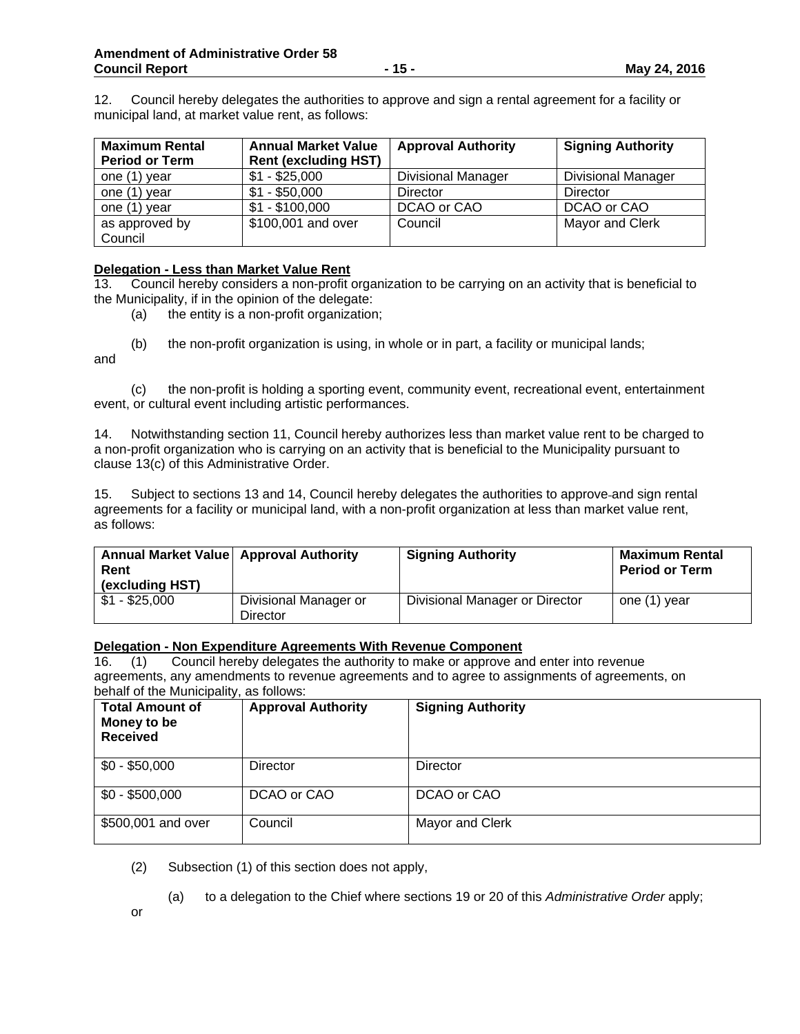12. Council hereby delegates the authorities to approve and sign a rental agreement for a facility or municipal land, at market value rent, as follows:

| <b>Maximum Rental</b><br><b>Period or Term</b> | <b>Annual Market Value</b><br><b>Rent (excluding HST)</b> | <b>Approval Authority</b> | <b>Signing Authority</b>  |
|------------------------------------------------|-----------------------------------------------------------|---------------------------|---------------------------|
| one (1) year                                   | $$1 - $25,000$                                            | <b>Divisional Manager</b> | <b>Divisional Manager</b> |
| one (1) year                                   | $$1 - $50,000$                                            | Director                  | Director                  |
| one (1) year                                   | $$1 - $100,000$                                           | DCAO or CAO               | DCAO or CAO               |
| as approved by<br>Council                      | \$100,001 and over                                        | Council                   | Mayor and Clerk           |

## **Delegation - Less than Market Value Rent**

13. Council hereby considers a non-profit organization to be carrying on an activity that is beneficial to the Municipality, if in the opinion of the delegate:

- (a) the entity is a non-profit organization;
- (b) the non-profit organization is using, in whole or in part, a facility or municipal lands;

and

 (c) the non-profit is holding a sporting event, community event, recreational event, entertainment event, or cultural event including artistic performances.

14. Notwithstanding section 11, Council hereby authorizes less than market value rent to be charged to a non-profit organization who is carrying on an activity that is beneficial to the Municipality pursuant to clause 13(c) of this Administrative Order.

15. Subject to sections 13 and 14, Council hereby delegates the authorities to approve and sign rental agreements for a facility or municipal land, with a non-profit organization at less than market value rent, as follows:

| Annual Market Value   Approval Authority<br>Rent<br>(excluding HST) |                                   | <b>Signing Authority</b>       | <b>Maximum Rental</b><br><b>Period or Term</b> |
|---------------------------------------------------------------------|-----------------------------------|--------------------------------|------------------------------------------------|
| $$1 - $25,000$                                                      | Divisional Manager or<br>Director | Divisional Manager or Director | one (1) year                                   |

## **Delegation - Non Expenditure Agreements With Revenue Component**

16. (1) Council hereby delegates the authority to make or approve and enter into revenue agreements, any amendments to revenue agreements and to agree to assignments of agreements, on behalf of the Municipality, as follows:

| <b>Total Amount of</b><br>Money to be<br><b>Received</b> | <b>Approval Authority</b> | <b>Signing Authority</b> |
|----------------------------------------------------------|---------------------------|--------------------------|
| $$0 - $50,000$                                           | Director                  | <b>Director</b>          |
| $$0 - $500,000$                                          | DCAO or CAO               | DCAO or CAO              |
| \$500,001 and over                                       | Council                   | Mayor and Clerk          |

- (2) Subsection (1) of this section does not apply,
	- (a) to a delegation to the Chief where sections 19 or 20 of this *Administrative Order* apply;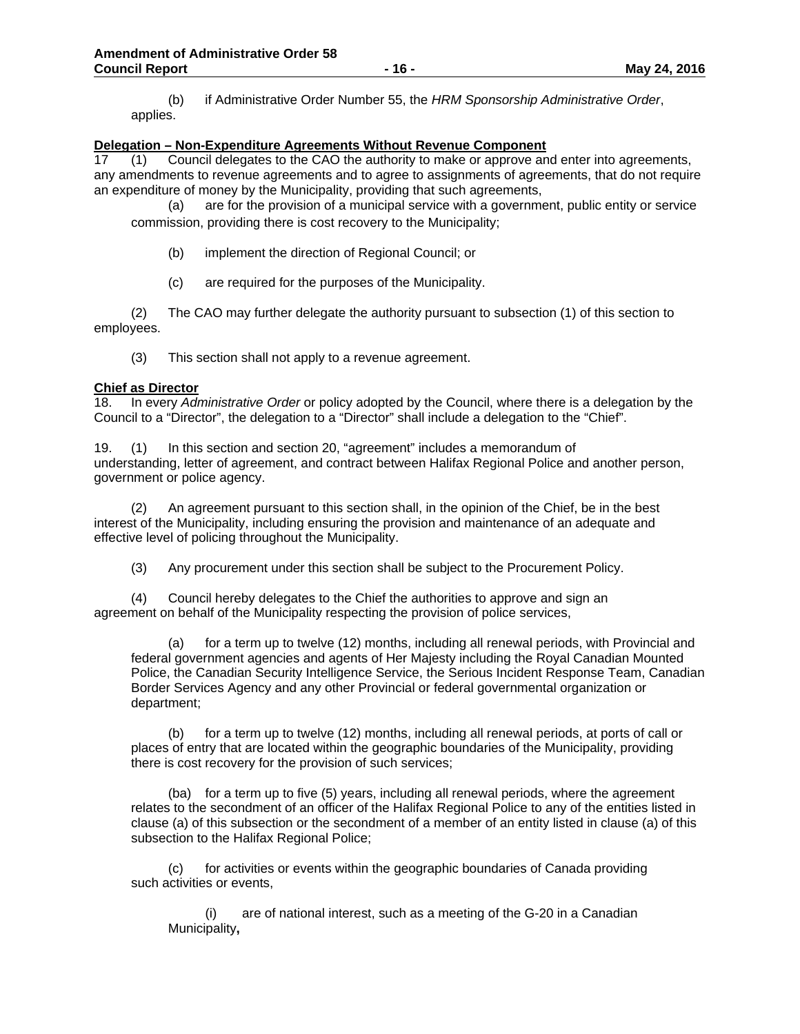(b) if Administrative Order Number 55, the *HRM Sponsorship Administrative Order*, applies.

## **Delegation – Non-Expenditure Agreements Without Revenue Component**

17 (1) Council delegates to the CAO the authority to make or approve and enter into agreements, any amendments to revenue agreements and to agree to assignments of agreements, that do not require an expenditure of money by the Municipality, providing that such agreements,

(a) are for the provision of a municipal service with a government, public entity or service commission, providing there is cost recovery to the Municipality;

- (b) implement the direction of Regional Council; or
- (c) are required for the purposes of the Municipality.

(2) The CAO may further delegate the authority pursuant to subsection (1) of this section to employees.

(3) This section shall not apply to a revenue agreement.

#### **Chief as Director**

18. In every *Administrative Order* or policy adopted by the Council, where there is a delegation by the Council to a "Director", the delegation to a "Director" shall include a delegation to the "Chief".

19. (1) In this section and section 20, "agreement" includes a memorandum of understanding, letter of agreement, and contract between Halifax Regional Police and another person, government or police agency.

 (2) An agreement pursuant to this section shall, in the opinion of the Chief, be in the best interest of the Municipality, including ensuring the provision and maintenance of an adequate and effective level of policing throughout the Municipality.

(3) Any procurement under this section shall be subject to the Procurement Policy.

(4) Council hereby delegates to the Chief the authorities to approve and sign an agreement on behalf of the Municipality respecting the provision of police services,

(a) for a term up to twelve (12) months, including all renewal periods, with Provincial and federal government agencies and agents of Her Majesty including the Royal Canadian Mounted Police, the Canadian Security Intelligence Service, the Serious Incident Response Team, Canadian Border Services Agency and any other Provincial or federal governmental organization or department;

 (b) for a term up to twelve (12) months, including all renewal periods, at ports of call or places of entry that are located within the geographic boundaries of the Municipality, providing there is cost recovery for the provision of such services;

 (ba) for a term up to five (5) years, including all renewal periods, where the agreement relates to the secondment of an officer of the Halifax Regional Police to any of the entities listed in clause (a) of this subsection or the secondment of a member of an entity listed in clause (a) of this subsection to the Halifax Regional Police;

(c) for activities or events within the geographic boundaries of Canada providing such activities or events,

 (i) are of national interest, such as a meeting of the G-20 in a Canadian Municipality**,**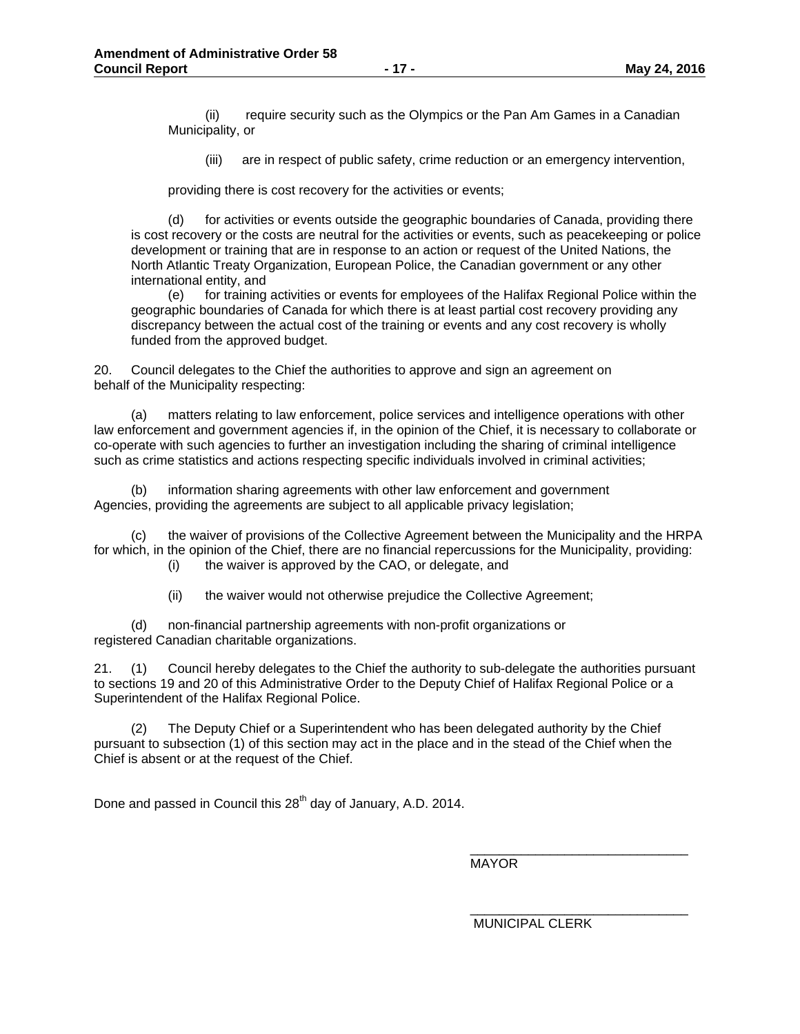(ii) require security such as the Olympics or the Pan Am Games in a Canadian Municipality, or

(iii) are in respect of public safety, crime reduction or an emergency intervention,

providing there is cost recovery for the activities or events;

(d) for activities or events outside the geographic boundaries of Canada, providing there is cost recovery or the costs are neutral for the activities or events, such as peacekeeping or police development or training that are in response to an action or request of the United Nations, the North Atlantic Treaty Organization, European Police, the Canadian government or any other international entity, and

(e) for training activities or events for employees of the Halifax Regional Police within the geographic boundaries of Canada for which there is at least partial cost recovery providing any discrepancy between the actual cost of the training or events and any cost recovery is wholly funded from the approved budget.

20. Council delegates to the Chief the authorities to approve and sign an agreement on behalf of the Municipality respecting:

(a) matters relating to law enforcement, police services and intelligence operations with other law enforcement and government agencies if, in the opinion of the Chief, it is necessary to collaborate or co-operate with such agencies to further an investigation including the sharing of criminal intelligence such as crime statistics and actions respecting specific individuals involved in criminal activities;

(b) information sharing agreements with other law enforcement and government Agencies, providing the agreements are subject to all applicable privacy legislation;

(c) the waiver of provisions of the Collective Agreement between the Municipality and the HRPA for which, in the opinion of the Chief, there are no financial repercussions for the Municipality, providing:

(i) the waiver is approved by the CAO, or delegate, and

(ii) the waiver would not otherwise prejudice the Collective Agreement;

(d) non-financial partnership agreements with non-profit organizations or registered Canadian charitable organizations.

21. (1) Council hereby delegates to the Chief the authority to sub-delegate the authorities pursuant to sections 19 and 20 of this Administrative Order to the Deputy Chief of Halifax Regional Police or a Superintendent of the Halifax Regional Police.

(2) The Deputy Chief or a Superintendent who has been delegated authority by the Chief pursuant to subsection (1) of this section may act in the place and in the stead of the Chief when the Chief is absent or at the request of the Chief.

Done and passed in Council this 28<sup>th</sup> day of January, A.D. 2014.

MAYOR

MUNICIPAL CLERK

\_\_\_\_\_\_\_\_\_\_\_\_\_\_\_\_\_\_\_\_\_\_\_\_\_\_\_\_\_\_

\_\_\_\_\_\_\_\_\_\_\_\_\_\_\_\_\_\_\_\_\_\_\_\_\_\_\_\_\_\_